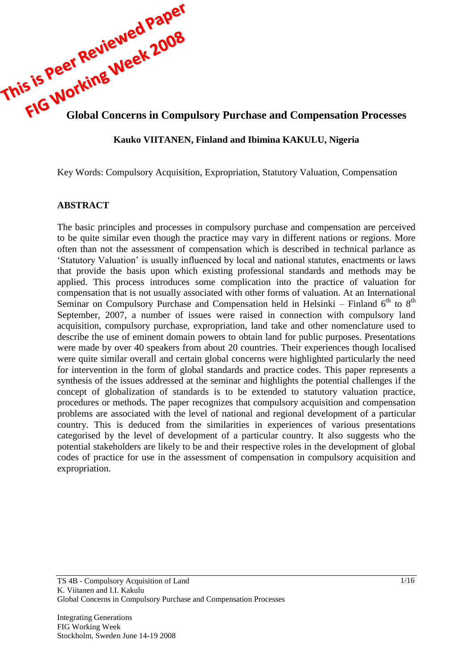

# **Kauko VIITANEN, Finland and Ibimina KAKULU, Nigeria**

Key Words: Compulsory Acquisition, Expropriation, Statutory Valuation, Compensation

### **ABSTRACT**

The basic principles and processes in compulsory purchase and compensation are perceived to be quite similar even though the practice may vary in different nations or regions. More often than not the assessment of compensation which is described in technical parlance as "Statutory Valuation" is usually influenced by local and national statutes, enactments or laws that provide the basis upon which existing professional standards and methods may be applied. This process introduces some complication into the practice of valuation for compensation that is not usually associated with other forms of valuation. At an International Seminar on Compulsory Purchase and Compensation held in Helsinki – Finland  $6<sup>th</sup>$  to  $8<sup>th</sup>$ September, 2007, a number of issues were raised in connection with compulsory land acquisition, compulsory purchase, expropriation, land take and other nomenclature used to describe the use of eminent domain powers to obtain land for public purposes. Presentations were made by over 40 speakers from about 20 countries. Their experiences though localised were quite similar overall and certain global concerns were highlighted particularly the need for intervention in the form of global standards and practice codes. This paper represents a synthesis of the issues addressed at the seminar and highlights the potential challenges if the concept of globalization of standards is to be extended to statutory valuation practice, procedures or methods. The paper recognizes that compulsory acquisition and compensation problems are associated with the level of national and regional development of a particular country. This is deduced from the similarities in experiences of various presentations categorised by the level of development of a particular country. It also suggests who the potential stakeholders are likely to be and their respective roles in the development of global codes of practice for use in the assessment of compensation in compulsory acquisition and expropriation.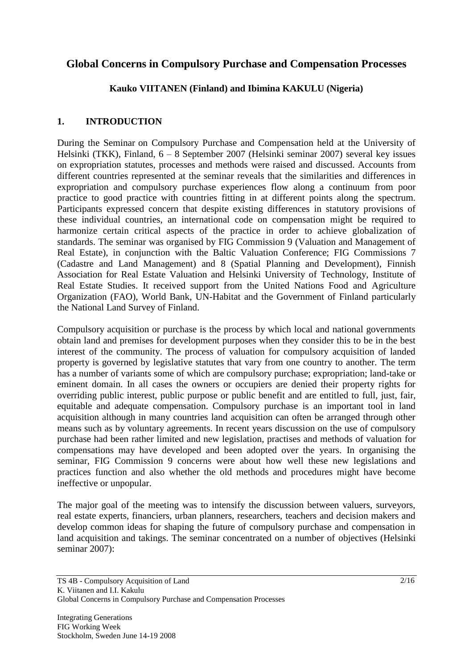# **Global Concerns in Compulsory Purchase and Compensation Processes**

**Kauko VIITANEN (Finland) and Ibimina KAKULU (Nigeria)**

## **1. INTRODUCTION**

During the Seminar on Compulsory Purchase and Compensation held at the University of Helsinki (TKK), Finland, 6 – 8 September 2007 (Helsinki seminar 2007) several key issues on expropriation statutes, processes and methods were raised and discussed. Accounts from different countries represented at the seminar reveals that the similarities and differences in expropriation and compulsory purchase experiences flow along a continuum from poor practice to good practice with countries fitting in at different points along the spectrum. Participants expressed concern that despite existing differences in statutory provisions of these individual countries, an international code on compensation might be required to harmonize certain critical aspects of the practice in order to achieve globalization of standards. The seminar was organised by FIG Commission 9 (Valuation and Management of Real Estate), in conjunction with the Baltic Valuation Conference; FIG Commissions 7 (Cadastre and Land Management) and 8 (Spatial Planning and Development), Finnish Association for Real Estate Valuation and Helsinki University of Technology, Institute of Real Estate Studies. It received support from the United Nations Food and Agriculture Organization (FAO), World Bank, UN-Habitat and the Government of Finland particularly the National Land Survey of Finland.

Compulsory acquisition or purchase is the process by which local and national governments obtain land and premises for development purposes when they consider this to be in the best interest of the community. The process of valuation for compulsory acquisition of landed property is governed by legislative statutes that vary from one country to another. The term has a number of variants some of which are compulsory purchase; expropriation; land-take or eminent domain. In all cases the owners or occupiers are denied their property rights for overriding public interest, public purpose or public benefit and are entitled to full, just, fair, equitable and adequate compensation. Compulsory purchase is an important tool in land acquisition although in many countries land acquisition can often be arranged through other means such as by voluntary agreements. In recent years discussion on the use of compulsory purchase had been rather limited and new legislation, practises and methods of valuation for compensations may have developed and been adopted over the years. In organising the seminar, FIG Commission 9 concerns were about how well these new legislations and practices function and also whether the old methods and procedures might have become ineffective or unpopular.

The major goal of the meeting was to intensify the discussion between valuers, surveyors, real estate experts, financiers, urban planners, researchers, teachers and decision makers and develop common ideas for shaping the future of compulsory purchase and compensation in land acquisition and takings. The seminar concentrated on a number of objectives (Helsinki seminar 2007):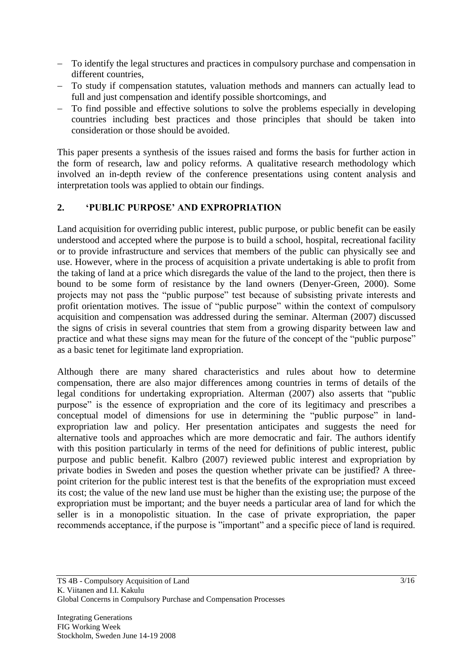- To identify the legal structures and practices in compulsory purchase and compensation in different countries,
- To study if compensation statutes, valuation methods and manners can actually lead to full and just compensation and identify possible shortcomings, and
- To find possible and effective solutions to solve the problems especially in developing countries including best practices and those principles that should be taken into consideration or those should be avoided.

This paper presents a synthesis of the issues raised and forms the basis for further action in the form of research, law and policy reforms. A qualitative research methodology which involved an in-depth review of the conference presentations using content analysis and interpretation tools was applied to obtain our findings.

### **2. 'PUBLIC PURPOSE' AND EXPROPRIATION**

Land acquisition for overriding public interest, public purpose, or public benefit can be easily understood and accepted where the purpose is to build a school, hospital, recreational facility or to provide infrastructure and services that members of the public can physically see and use. However, where in the process of acquisition a private undertaking is able to profit from the taking of land at a price which disregards the value of the land to the project, then there is bound to be some form of resistance by the land owners (Denyer-Green, 2000). Some projects may not pass the "public purpose" test because of subsisting private interests and profit orientation motives. The issue of "public purpose" within the context of compulsory acquisition and compensation was addressed during the seminar. Alterman (2007) discussed the signs of crisis in several countries that stem from a growing disparity between law and practice and what these signs may mean for the future of the concept of the "public purpose" as a basic tenet for legitimate land expropriation.

Although there are many shared characteristics and rules about how to determine compensation, there are also major differences among countries in terms of details of the legal conditions for undertaking expropriation. Alterman (2007) also asserts that "public purpose" is the essence of expropriation and the core of its legitimacy and prescribes a conceptual model of dimensions for use in determining the "public purpose" in landexpropriation law and policy. Her presentation anticipates and suggests the need for alternative tools and approaches which are more democratic and fair. The authors identify with this position particularly in terms of the need for definitions of public interest, public purpose and public benefit. [Kalbro](http://www.tkk.fi/Yksikot/Kiinteisto/FIG/pdf-files/06092007Kalbro) (2007) reviewed public interest and expropriation by private bodies in Sweden and poses the question whether private can be justified? A threepoint criterion for the public interest test is that the benefits of the expropriation must exceed its cost; the value of the new land use must be higher than the existing use; the purpose of the expropriation must be important; and the buyer needs a particular area of land for which the seller is in a monopolistic situation. In the case of private expropriation, the paper recommends acceptance, if the purpose is "important" and a specific piece of land is required.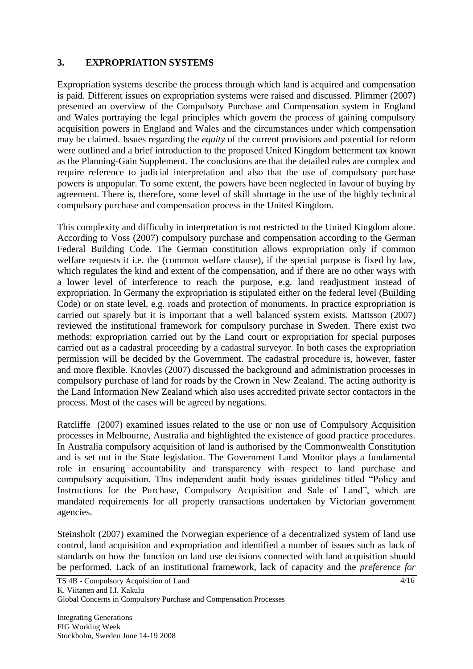### **3. EXPROPRIATION SYSTEMS**

Expropriation systems describe the process through which land is acquired and compensation is paid. Different issues on expropriation systems were raised and discussed. [Plimmer](http://www.tkk.fi/Yksikot/Kiinteisto/FIG/pdf-files/06092007Plimmer) (2007) presented an overview of the Compulsory Purchase and Compensation system in England and Wales portraying the legal principles which govern the process of gaining compulsory acquisition powers in England and Wales and the circumstances under which compensation may be claimed. Issues regarding the *equity* of the current provisions and potential for reform were outlined and a brief introduction to the proposed United Kingdom betterment tax known as the Planning-Gain Supplement. The conclusions are that the detailed rules are complex and require reference to judicial interpretation and also that the use of compulsory purchase powers is unpopular. To some extent, the powers have been neglected in favour of buying by agreement. There is, therefore, some level of skill shortage in the use of the highly technical compulsory purchase and compensation process in the United Kingdom.

This complexity and difficulty in interpretation is not restricted to the United Kingdom alone. According to [Voss](http://www.tkk.fi/Yksikot/Kiinteisto/FIG/pdf-files/06092007Voss) (2007) compulsory purchase and compensation according to the German Federal Building Code. The German constitution allows expropriation only if common welfare requests it i.e. the (common welfare clause), if the special purpose is fixed by law, which regulates the kind and extent of the compensation, and if there are no other ways with a lower level of interference to reach the purpose, e.g. land readjustment instead of expropriation. In Germany the expropriation is stipulated either on the federal level (Building Code) or on state level, e.g. roads and protection of monuments. In practice expropriation is carried out sparely but it is important that a well balanced system exists. [Mattsson](http://www.tkk.fi/Yksikot/Kiinteisto/FIG/pdf-files/08092007Mattsson) (2007) reviewed the institutional framework for compulsory purchase in Sweden. There exist two methods: expropriation carried out by the Land court or expropriation for special purposes carried out as a cadastral proceeding by a cadastral surveyor. In both cases the expropriation permission will be decided by the Government. The cadastral procedure is, however, faster and more flexible. [Knovles](http://www.tkk.fi/Yksikot/Kiinteisto/FIG/pdf-files/08092007Knovles) (2007) discussed the background and administration processes in compulsory purchase of land for roads by the Crown in New Zealand. The acting authority is the Land Information New Zealand which also uses accredited private sector contactors in the process. Most of the cases will be agreed by negations.

[Ratcliffe](http://www.tkk.fi/Yksikot/Kiinteisto/FIG/pdf-files/06092007Ratcliffe) (2007) examined issues related to the use or non use of Compulsory Acquisition processes in Melbourne, Australia and highlighted the existence of good practice procedures. In Australia compulsory acquisition of land is authorised by the Commonwealth Constitution and is set out in the State legislation. The Government Land Monitor plays a fundamental role in ensuring accountability and transparency with respect to land purchase and compulsory acquisition. This independent audit body issues guidelines titled "Policy and Instructions for the Purchase, Compulsory Acquisition and Sale of Land", which are mandated requirements for all property transactions undertaken by Victorian government agencies.

[Steinsholt](http://www.tkk.fi/Yksikot/Kiinteisto/FIG/pdf-files/06092007Steinsholt) (2007) examined the Norwegian experience of a decentralized system of land use control, land acquisition and expropriation and identified a number of issues such as lack of standards on how the function on land use decisions connected with land acquisition should be performed. Lack of an institutional framework, lack of capacity and the *preference for*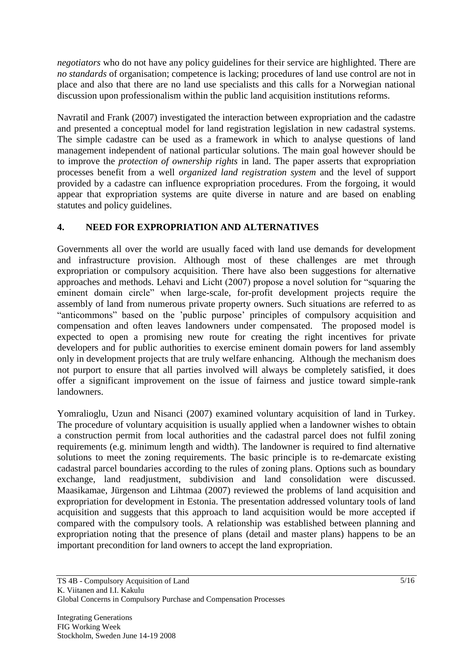*negotiators* who do not have any policy guidelines for their service are highlighted. There are *no standards* of organisation; competence is lacking; procedures of land use control are not in place and also that there are no land use specialists and this calls for a Norwegian national discussion upon professionalism within the public land acquisition institutions reforms.

[Navratil and Frank](http://www.tkk.fi/Yksikot/Kiinteisto/FIG/pdf-files/07092007Navratil) (2007) investigated the interaction between expropriation and the cadastre and presented a conceptual model for land registration legislation in new cadastral systems. The simple cadastre can be used as a framework in which to analyse questions of land management independent of national particular solutions. The main goal however should be to improve the *protection of ownership rights* in land. The paper asserts that expropriation processes benefit from a well *organized land registration system* and the level of support provided by a cadastre can influence expropriation procedures. From the forgoing, it would appear that expropriation systems are quite diverse in nature and are based on enabling statutes and policy guidelines.

## **4. NEED FOR EXPROPRIATION AND ALTERNATIVES**

Governments all over the world are usually faced with land use demands for development and infrastructure provision. Although most of these challenges are met through expropriation or compulsory acquisition. There have also been suggestions for alternative approaches and methods. [Lehavi](http://www.tkk.fi/Yksikot/Kiinteisto/FIG/pdf-files/06092007Lehavi) and Licht (2007) propose a novel solution for "squaring the eminent domain circle" when large-scale, for-profit development projects require the assembly of land from numerous private property owners. Such situations are referred to as "anticommons" based on the "public purpose" principles of compulsory acquisition and compensation and often leaves landowners under compensated. The proposed model is expected to open a promising new route for creating the right incentives for private developers and for public authorities to exercise eminent domain powers for land assembly only in development projects that are truly welfare enhancing. Although the mechanism does not purport to ensure that all parties involved will always be completely satisfied, it does offer a significant improvement on the issue of fairness and justice toward simple-rank landowners.

[Yomralioglu,](http://www.tkk.fi/Yksikot/Kiinteisto/FIG/pdf-files/08092007Yomralioglu) Uzun and Nisanci (2007) examined voluntary acquisition of land in Turkey. The procedure of voluntary acquisition is usually applied when a landowner wishes to obtain a construction permit from local authorities and the cadastral parcel does not fulfil zoning requirements (e.g. minimum length and width). The landowner is required to find alternative solutions to meet the zoning requirements. The basic principle is to re-demarcate existing cadastral parcel boundaries according to the rules of zoning plans. Options such as boundary exchange, land readjustment, subdivision and land consolidation were discussed. [Maasikamae,](http://www.tkk.fi/Yksikot/Kiinteisto/FIG/pdf-files/08092007Maasikamae) Jürgenson and Lihtmaa (2007) reviewed the problems of land acquisition and expropriation for development in Estonia. The presentation addressed voluntary tools of land acquisition and suggests that this approach to land acquisition would be more accepted if compared with the compulsory tools. A relationship was established between planning and expropriation noting that the presence of plans (detail and master plans) happens to be an important precondition for land owners to accept the land expropriation.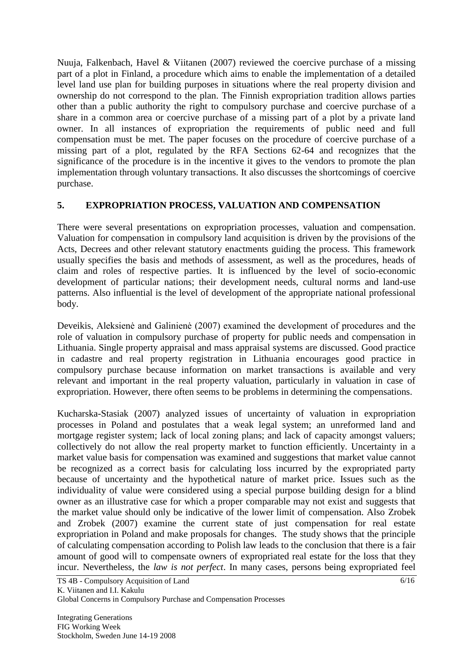[Nuuja, Falkenbach, Havel & Viitanen \(](http://www.tkk.fi/Yksikot/Kiinteisto/FIG/pdf-files/06092007Nuuja)2007) reviewed the coercive purchase of a missing part of a plot in Finland, a procedure which aims to enable the implementation of a detailed level land use plan for building purposes in situations where the real property division and ownership do not correspond to the plan. The Finnish expropriation tradition allows parties other than a public authority the right to compulsory purchase and coercive purchase of a share in a common area or coercive purchase of a missing part of a plot by a private land owner. In all instances of expropriation the requirements of public need and full compensation must be met. The paper focuses on the procedure of coercive purchase of a missing part of a plot, regulated by the RFA Sections 62-64 and recognizes that the significance of the procedure is in the incentive it gives to the vendors to promote the plan implementation through voluntary transactions. It also discusses the shortcomings of coercive purchase.

### **5. EXPROPRIATION PROCESS, VALUATION AND COMPENSATION**

There were several presentations on expropriation processes, valuation and compensation. Valuation for compensation in compulsory land acquisition is driven by the provisions of the Acts, Decrees and other relevant statutory enactments guiding the process. This framework usually specifies the basis and methods of assessment, as well as the procedures, heads of claim and roles of respective parties. It is influenced by the level of socio-economic development of particular nations; their development needs, cultural norms and land-use patterns. Also influential is the level of development of the appropriate national professional body.

[Deveikis,](http://www.tkk.fi/Yksikot/Kiinteisto/FIG/pdf-files/06092007Deveikis) Aleksienė and Galinienė (2007) examined the development of procedures and the role of valuation in compulsory purchase of property for public needs and compensation in Lithuania. Single property appraisal and mass appraisal systems are discussed. Good practice in cadastre and real property registration in Lithuania encourages good practice in compulsory purchase because information on market transactions is available and very relevant and important in the real property valuation, particularly in valuation in case of expropriation. However, there often seems to be problems in determining the compensations.

[Kucharska-Stasiak](http://www.tkk.fi/Yksikot/Kiinteisto/FIG/pdf-files/06092007KucharskaStasiak) (2007) analyzed issues of uncertainty of valuation in expropriation processes in Poland and postulates that a weak legal system; an unreformed land and mortgage register system; lack of local zoning plans; and lack of capacity amongst valuers; collectively do not allow the real property market to function efficiently. Uncertainty in a market value basis for compensation was examined and suggestions that market value cannot be recognized as a correct basis for calculating loss incurred by the expropriated party because of uncertainty and the hypothetical nature of market price. Issues such as the individuality of value were considered using a special purpose building design for a blind owner as an illustrative case for which a proper comparable may not exist and suggests that the market value should only be indicative of the lower limit of compensation. Also [Zrobek](http://www.tkk.fi/Yksikot/Kiinteisto/FIG/pdf-files/07092007Zrobek)  [and Zrobek](http://www.tkk.fi/Yksikot/Kiinteisto/FIG/pdf-files/07092007Zrobek) (2007) examine the current state of just compensation for real estate expropriation in Poland and make proposals for changes. The study shows that the principle of calculating compensation according to Polish law leads to the conclusion that there is a fair amount of good will to compensate owners of expropriated real estate for the loss that they incur. Nevertheless, the *law is not perfect*. In many cases, persons being expropriated feel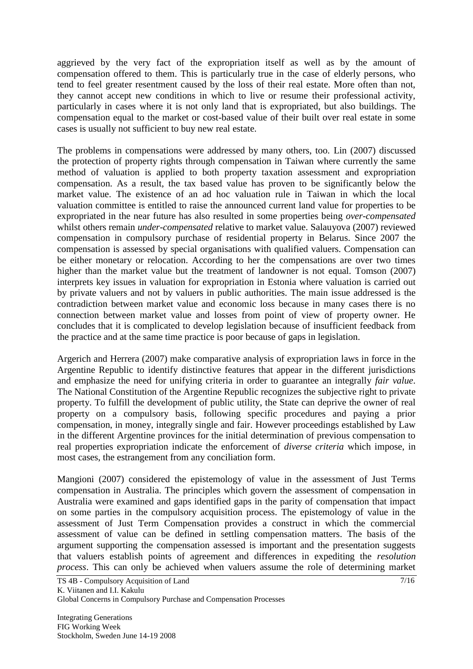aggrieved by the very fact of the expropriation itself as well as by the amount of compensation offered to them. This is particularly true in the case of elderly persons, who tend to feel greater resentment caused by the loss of their real estate. More often than not, they cannot accept new conditions in which to live or resume their professional activity, particularly in cases where it is not only land that is expropriated, but also buildings. The compensation equal to the market or cost-based value of their built over real estate in some cases is usually not sufficient to buy new real estate.

The problems in compensations were addressed by many others, too. [Lin](http://www.tkk.fi/Yksikot/Kiinteisto/FIG/pdf-files/06092007Lin) (2007) discussed the protection of property rights through compensation in Taiwan where currently the same method of valuation is applied to both property taxation assessment and expropriation compensation. As a result, the tax based value has proven to be significantly below the market value. The existence of an ad hoc valuation rule in Taiwan in which the local valuation committee is entitled to raise the announced current land value for properties to be expropriated in the near future has also resulted in some properties being *over-compensated* whilst others remain *under-compensated* relative to market value. [Salauyova](http://www.tkk.fi/Yksikot/Kiinteisto/FIG/pdf-files/07092007Salauyova) (2007) reviewed compensation in compulsory purchase of residential property in Belarus. Since 2007 the compensation is assessed by special organisations with qualified valuers. Compensation can be either monetary or relocation. According to her the compensations are over two times higher than the market value but the treatment of landowner is not equal. [Tomson](http://www.tkk.fi/Yksikot/Kiinteisto/FIG/pdf-files/06092007Tomson) (2007) interprets key issues in valuation for expropriation in Estonia where valuation is carried out by private valuers and not by valuers in public authorities. The main issue addressed is the contradiction between market value and economic loss because in many cases there is no connection between market value and losses from point of view of property owner. He concludes that it is complicated to develop legislation because of insufficient feedback from the practice and at the same time practice is poor because of gaps in legislation.

[Argerich and Herrera](http://www.tkk.fi/Yksikot/Kiinteisto/FIG/pdf-files/07092007Argerich) (2007) make comparative analysis of expropriation laws in force in the Argentine Republic to identify distinctive features that appear in the different jurisdictions and emphasize the need for unifying criteria in order to guarantee an integrally *fair value*. The National Constitution of the Argentine Republic recognizes the subjective right to private property. To fulfill the development of public utility, the State can deprive the owner of real property on a compulsory basis, following specific procedures and paying a prior compensation, in money, integrally single and fair. However proceedings established by Law in the different Argentine provinces for the initial determination of previous compensation to real properties expropriation indicate the enforcement of *diverse criteria* which impose, in most cases, the estrangement from any conciliation form.

[Mangioni](http://www.tkk.fi/Yksikot/Kiinteisto/FIG/pdf-files/07092007Mangioni) (2007) considered the epistemology of value in the assessment of Just Terms compensation in Australia. The principles which govern the assessment of compensation in Australia were examined and gaps identified gaps in the parity of compensation that impact on some parties in the compulsory acquisition process. The epistemology of value in the assessment of Just Term Compensation provides a construct in which the commercial assessment of value can be defined in settling compensation matters. The basis of the argument supporting the compensation assessed is important and the presentation suggests that valuers establish points of agreement and differences in expediting the *resolution process*. This can only be achieved when valuers assume the role of determining market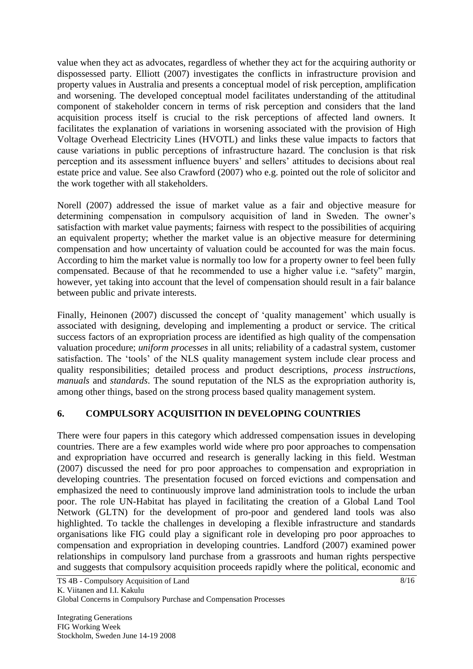value when they act as advocates, regardless of whether they act for the acquiring authority or dispossessed party. [Elliott](http://www.tkk.fi/Yksikot/Kiinteisto/FIG/pdf-files/07092007Elliott) (2007) investigates the conflicts in infrastructure provision and property values in Australia and presents a conceptual model of risk perception, amplification and worsening. The developed conceptual model facilitates understanding of the attitudinal component of stakeholder concern in terms of risk perception and considers that the land acquisition process itself is crucial to the risk perceptions of affected land owners. It facilitates the explanation of variations in worsening associated with the provision of High Voltage Overhead Electricity Lines (HVOTL) and links these value impacts to factors that cause variations in public perceptions of infrastructure hazard. The conclusion is that risk perception and its assessment influence buyers" and sellers" attitudes to decisions about real estate price and value. See also [Crawford](http://www.tkk.fi/Yksikot/Kiinteisto/FIG/pdf-files/07092007Crawford) (2007) who e.g. pointed out the role of solicitor and the work together with all stakeholders.

[Norell](http://www.tkk.fi/Yksikot/Kiinteisto/FIG/pdf-files/07092007Norell) (2007) addressed the issue of market value as a fair and objective measure for determining compensation in compulsory acquisition of land in Sweden. The owner's satisfaction with market value payments; fairness with respect to the possibilities of acquiring an equivalent property; whether the market value is an objective measure for determining compensation and how uncertainty of valuation could be accounted for was the main focus. According to him the market value is normally too low for a property owner to feel been fully compensated. Because of that he recommended to use a higher value i.e. "safety" margin, however, yet taking into account that the level of compensation should result in a fair balance between public and private interests.

Finally, [Heinonen](http://www.tkk.fi/Yksikot/Kiinteisto/FIG/pdf-files/06092007Heinonen) (2007) discussed the concept of 'quality management' which usually is associated with designing, developing and implementing a product or service. The critical success factors of an expropriation process are identified as high quality of the compensation valuation procedure; *uniform processes* in all units; reliability of a cadastral system, customer satisfaction. The "tools" of the NLS quality management system include clear process and quality responsibilities; detailed process and product descriptions, *process instructions*, *manuals* and *standards*. The sound reputation of the NLS as the expropriation authority is, among other things, based on the strong process based quality management system.

# **6. COMPULSORY ACQUISITION IN DEVELOPING COUNTRIES**

There were four papers in this category which addressed compensation issues in developing countries. There are a few examples world wide where pro poor approaches to compensation and expropriation have occurred and research is generally lacking in this field. [Westman](http://www.tkk.fi/Yksikot/Kiinteisto/FIG/pdf-files/06092007Westman) (2007) discussed the need for pro poor approaches to compensation and expropriation in developing countries. The presentation focused on forced evictions and compensation and emphasized the need to continuously improve land administration tools to include the urban poor. The role UN-Habitat has played in facilitating the creation of a Global Land Tool Network (GLTN) for the development of pro-poor and gendered land tools was also highlighted. To tackle the challenges in developing a flexible infrastructure and standards organisations like FIG could play a significant role in developing pro poor approaches to compensation and expropriation in developing countries. [Landford](http://www.tkk.fi/Yksikot/Kiinteisto/FIG/pdf-files/06092007Landford) (2007) examined power relationships in compulsory land purchase from a grassroots and human rights perspective and suggests that compulsory acquisition proceeds rapidly where the political, economic and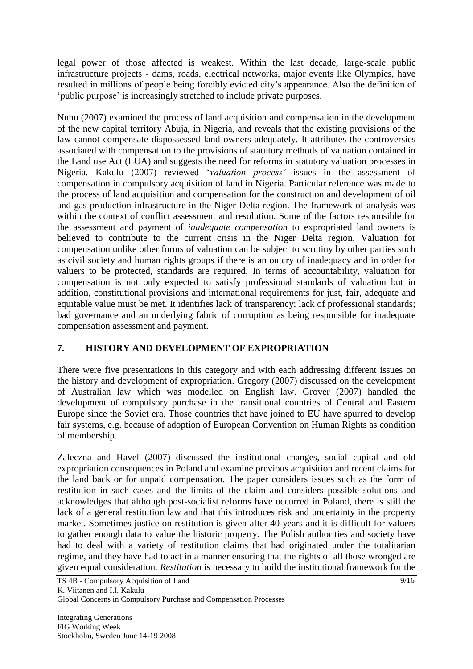legal power of those affected is weakest. Within the last decade, large-scale public infrastructure projects - dams, roads, electrical networks, major events like Olympics, have resulted in millions of people being forcibly evicted city"s appearance. Also the definition of 'public purpose' is increasingly stretched to include private purposes.

[Nuhu](http://www.tkk.fi/Yksikot/Kiinteisto/FIG/pdf-files/06092007Nuhu) (2007) examined the process of land acquisition and compensation in the development of the new capital territory Abuja, in Nigeria, and reveals that the existing provisions of the law cannot compensate dispossessed land owners adequately. It attributes the controversies associated with compensation to the provisions of statutory methods of valuation contained in the Land use Act (LUA) and suggests the need for reforms in statutory valuation processes in Nigeria. [Kakulu](http://www.tkk.fi/Yksikot/Kiinteisto/FIG/pdf-files/06092007Kakulu) (2007) reviewed "*valuation process'* issues in the assessment of compensation in compulsory acquisition of land in Nigeria. Particular reference was made to the process of land acquisition and compensation for the construction and development of oil and gas production infrastructure in the Niger Delta region. The framework of analysis was within the context of conflict assessment and resolution. Some of the factors responsible for the assessment and payment of *inadequate compensation* to expropriated land owners is believed to contribute to the current crisis in the Niger Delta region. Valuation for compensation unlike other forms of valuation can be subject to scrutiny by other parties such as civil society and human rights groups if there is an outcry of inadequacy and in order for valuers to be protected, standards are required. In terms of accountability, valuation for compensation is not only expected to satisfy professional standards of valuation but in addition, constitutional provisions and international requirements for just, fair, adequate and equitable value must be met. It identifies lack of transparency; lack of professional standards; bad governance and an underlying fabric of corruption as being responsible for inadequate compensation assessment and payment.

# **7. HISTORY AND DEVELOPMENT OF EXPROPRIATION**

There were five presentations in this category and with each addressing different issues on the history and development of expropriation. [Gregory](http://www.tkk.fi/Yksikot/Kiinteisto/FIG/pdf-files/06092007Gregory) (2007) discussed on the development of Australian law which was modelled on English law. [Grover](http://www.tkk.fi/Yksikot/Kiinteisto/FIG/pdf-files/06092007Grover) (2007) handled the development of compulsory purchase in the transitional countries of Central and Eastern Europe since the Soviet era. Those countries that have joined to EU have spurred to develop fair systems, e.g. because of adoption of European Convention on Human Rights as condition of membership.

[Zaleczna and Havel](http://www.tkk.fi/Yksikot/Kiinteisto/FIG/pdf-files/06092007Havel) (2007) discussed the institutional changes, social capital and old expropriation consequences in Poland and examine previous acquisition and recent claims for the land back or for unpaid compensation. The paper considers issues such as the form of restitution in such cases and the limits of the claim and considers possible solutions and acknowledges that although post-socialist reforms have occurred in Poland, there is still the lack of a general restitution law and that this introduces risk and uncertainty in the property market. Sometimes justice on restitution is given after 40 years and it is difficult for valuers to gather enough data to value the historic property. The Polish authorities and society have had to deal with a variety of restitution claims that had originated under the totalitarian regime, and they have had to act in a manner ensuring that the rights of all those wronged are given equal consideration*. Restitution* is necessary to build the institutional framework for the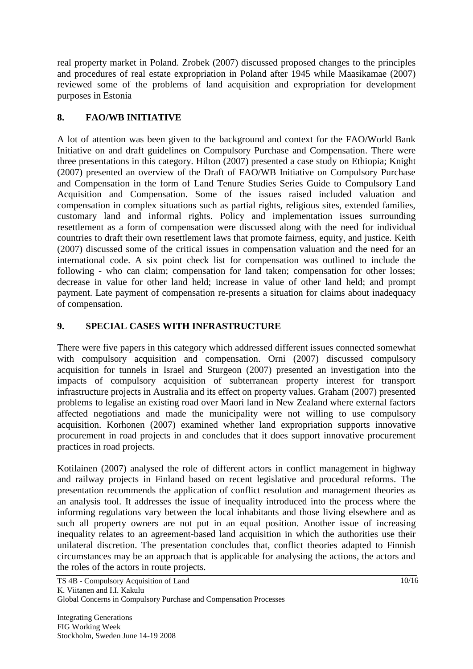real property market in Poland. [Zrobek](http://www.tkk.fi/Yksikot/Kiinteisto/FIG/pdf-files/06092007Zrobek) (2007) discussed proposed changes to the principles and procedures of real estate expropriation in Poland after 1945 while [Maasikamae](http://www.tkk.fi/Yksikot/Kiinteisto/FIG/pdf-files/06092007Maasikamae) (2007) reviewed some of the problems of land acquisition and expropriation for development purposes in Estonia

## **8. FAO/WB INITIATIVE**

A lot of attention was been given to the background and context for the FAO/World Bank Initiative on and draft guidelines on Compulsory Purchase and Compensation. There were three presentations in this category. [Hilton](http://www.tkk.fi/Yksikot/Kiinteisto/FIG/pdf-files/07092007Hilton) (2007) presented a case study on Ethiopia; [Knight](http://www.tkk.fi/Yksikot/Kiinteisto/FIG/pdf-files/07092007Knight) (2007) presented an overview of the Draft of FAO/WB Initiative on Compulsory Purchase and Compensation in the form of Land Tenure Studies Series Guide to Compulsory Land Acquisition and Compensation. Some of the issues raised included valuation and compensation in complex situations such as partial rights, religious sites, extended families, customary land and informal rights. Policy and implementation issues surrounding resettlement as a form of compensation were discussed along with the need for individual countries to draft their own resettlement laws that promote fairness, equity, and justice. [Keith](http://www.tkk.fi/Yksikot/Kiinteisto/FIG/pdf-files/07092007Keith) (2007) discussed some of the critical issues in compensation valuation and the need for an international code. A six point check list for compensation was outlined to include the following - who can claim; compensation for land taken; compensation for other losses; decrease in value for other land held; increase in value of other land held; and prompt payment. Late payment of compensation re-presents a situation for claims about inadequacy of compensation.

## **9. SPECIAL CASES WITH INFRASTRUCTURE**

There were five papers in this category which addressed different issues connected somewhat with compulsory acquisition and compensation. [Orni](http://www.tkk.fi/Yksikot/Kiinteisto/FIG/pdf-files/07092007Orni) (2007) discussed compulsory acquisition for tunnels in Israel and [Sturgeon](http://www.tkk.fi/Yksikot/Kiinteisto/FIG/pdf-files/07092007Sturgeon) (2007) presented an investigation into the impacts of compulsory acquisition of subterranean property interest for transport infrastructure projects in Australia and its effect on property values. [Graham](http://www.tkk.fi/Yksikot/Kiinteisto/FIG/pdf-files/07092007Graham) (2007) presented problems to legalise an existing road over Maori land in New Zealand where external factors affected negotiations and made the municipality were not willing to use compulsory acquisition. [Korhonen](http://www.tkk.fi/Yksikot/Kiinteisto/FIG/pdf-files/07092007Korhonen) (2007) examined whether land expropriation supports innovative procurement in road projects in and concludes that it does support innovative procurement practices in road projects.

[Kotilainen](http://www.tkk.fi/Yksikot/Kiinteisto/FIG/pdf-files/07092007Kotilainen) (2007) analysed the role of different actors in conflict management in highway and railway projects in Finland based on recent legislative and procedural reforms. The presentation recommends the application of conflict resolution and management theories as an analysis tool. It addresses the issue of inequality introduced into the process where the informing regulations vary between the local inhabitants and those living elsewhere and as such all property owners are not put in an equal position. Another issue of increasing inequality relates to an agreement-based land acquisition in which the authorities use their unilateral discretion. The presentation concludes that, conflict theories adapted to Finnish circumstances may be an approach that is applicable for analysing the actions, the actors and the roles of the actors in route projects.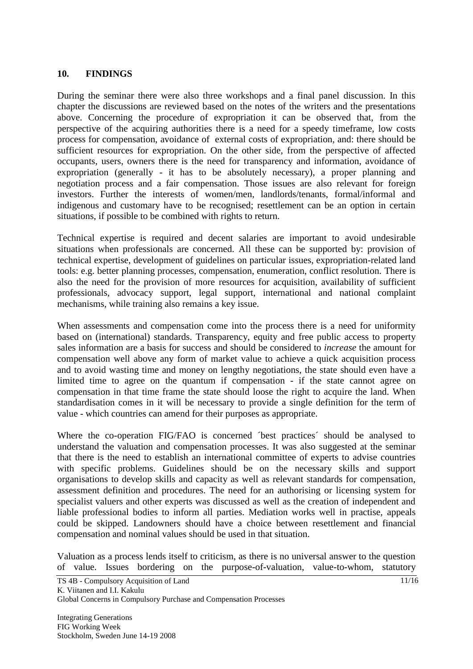#### **10. FINDINGS**

During the seminar there were also three workshops and a final panel discussion. In this chapter the discussions are reviewed based on the notes of the writers and the presentations above. Concerning the procedure of expropriation it can be observed that, from the perspective of the acquiring authorities there is a need for a speedy timeframe, low costs process for compensation, avoidance of external costs of expropriation, and: there should be sufficient resources for expropriation. On the other side, from the perspective of affected occupants, users, owners there is the need for transparency and information, avoidance of expropriation (generally - it has to be absolutely necessary), a proper planning and negotiation process and a fair compensation. Those issues are also relevant for foreign investors. Further the interests of women/men, landlords/tenants, formal/informal and indigenous and customary have to be recognised; resettlement can be an option in certain situations, if possible to be combined with rights to return.

Technical expertise is required and decent salaries are important to avoid undesirable situations when professionals are concerned. All these can be supported by: provision of technical expertise, development of guidelines on particular issues, expropriation-related land tools: e.g. better planning processes, compensation, enumeration, conflict resolution. There is also the need for the provision of more resources for acquisition, availability of sufficient professionals, advocacy support, legal support, international and national complaint mechanisms, while training also remains a key issue.

When assessments and compensation come into the process there is a need for uniformity based on (international) standards. Transparency, equity and free public access to property sales information are a basis for success and should be considered to *increase* the amount for compensation well above any form of market value to achieve a quick acquisition process and to avoid wasting time and money on lengthy negotiations, the state should even have a limited time to agree on the quantum if compensation - if the state cannot agree on compensation in that time frame the state should loose the right to acquire the land. When standardisation comes in it will be necessary to provide a single definition for the term of value - which countries can amend for their purposes as appropriate.

Where the co-operation FIG/FAO is concerned ´best practices´ should be analysed to understand the valuation and compensation processes. It was also suggested at the seminar that there is the need to establish an international committee of experts to advise countries with specific problems. Guidelines should be on the necessary skills and support organisations to develop skills and capacity as well as relevant standards for compensation, assessment definition and procedures. The need for an authorising or licensing system for specialist valuers and other experts was discussed as well as the creation of independent and liable professional bodies to inform all parties. Mediation works well in practise, appeals could be skipped. Landowners should have a choice between resettlement and financial compensation and nominal values should be used in that situation.

Valuation as a process lends itself to criticism, as there is no universal answer to the question of value. Issues bordering on the purpose-of-valuation, value-to-whom, statutory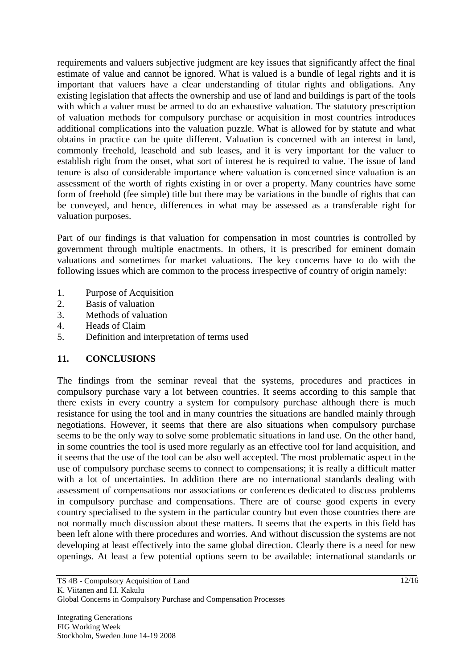requirements and valuers subjective judgment are key issues that significantly affect the final estimate of value and cannot be ignored. What is valued is a bundle of legal rights and it is important that valuers have a clear understanding of titular rights and obligations. Any existing legislation that affects the ownership and use of land and buildings is part of the tools with which a valuer must be armed to do an exhaustive valuation. The statutory prescription of valuation methods for compulsory purchase or acquisition in most countries introduces additional complications into the valuation puzzle. What is allowed for by statute and what obtains in practice can be quite different. Valuation is concerned with an interest in land, commonly freehold, leasehold and sub leases, and it is very important for the valuer to establish right from the onset, what sort of interest he is required to value. The issue of land tenure is also of considerable importance where valuation is concerned since valuation is an assessment of the worth of rights existing in or over a property. Many countries have some form of freehold (fee simple) title but there may be variations in the bundle of rights that can be conveyed, and hence, differences in what may be assessed as a transferable right for valuation purposes.

Part of our findings is that valuation for compensation in most countries is controlled by government through multiple enactments. In others, it is prescribed for eminent domain valuations and sometimes for market valuations. The key concerns have to do with the following issues which are common to the process irrespective of country of origin namely:

- 1. Purpose of Acquisition
- 2. Basis of valuation
- 3. Methods of valuation
- 4. Heads of Claim
- 5. Definition and interpretation of terms used

#### **11. CONCLUSIONS**

The findings from the seminar reveal that the systems, procedures and practices in compulsory purchase vary a lot between countries. It seems according to this sample that there exists in every country a system for compulsory purchase although there is much resistance for using the tool and in many countries the situations are handled mainly through negotiations. However, it seems that there are also situations when compulsory purchase seems to be the only way to solve some problematic situations in land use. On the other hand, in some countries the tool is used more regularly as an effective tool for land acquisition, and it seems that the use of the tool can be also well accepted. The most problematic aspect in the use of compulsory purchase seems to connect to compensations; it is really a difficult matter with a lot of uncertainties. In addition there are no international standards dealing with assessment of compensations nor associations or conferences dedicated to discuss problems in compulsory purchase and compensations. There are of course good experts in every country specialised to the system in the particular country but even those countries there are not normally much discussion about these matters. It seems that the experts in this field has been left alone with there procedures and worries. And without discussion the systems are not developing at least effectively into the same global direction. Clearly there is a need for new openings. At least a few potential options seem to be available: international standards or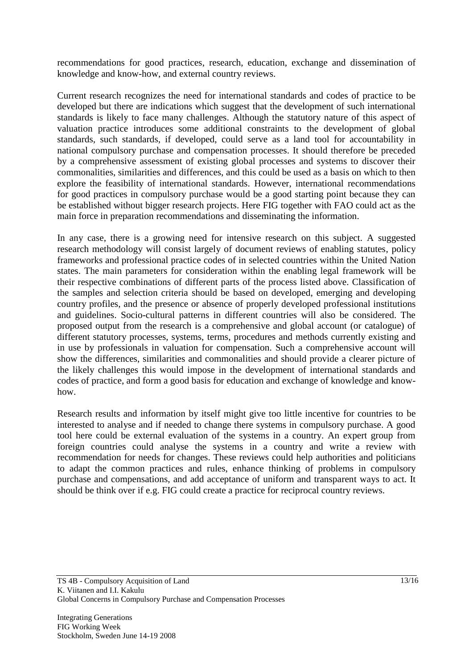recommendations for good practices, research, education, exchange and dissemination of knowledge and know-how, and external country reviews.

Current research recognizes the need for international standards and codes of practice to be developed but there are indications which suggest that the development of such international standards is likely to face many challenges. Although the statutory nature of this aspect of valuation practice introduces some additional constraints to the development of global standards, such standards, if developed, could serve as a land tool for accountability in national compulsory purchase and compensation processes. It should therefore be preceded by a comprehensive assessment of existing global processes and systems to discover their commonalities, similarities and differences, and this could be used as a basis on which to then explore the feasibility of international standards. However, international recommendations for good practices in compulsory purchase would be a good starting point because they can be established without bigger research projects. Here FIG together with FAO could act as the main force in preparation recommendations and disseminating the information.

In any case, there is a growing need for intensive research on this subject. A suggested research methodology will consist largely of document reviews of enabling statutes, policy frameworks and professional practice codes of in selected countries within the United Nation states. The main parameters for consideration within the enabling legal framework will be their respective combinations of different parts of the process listed above. Classification of the samples and selection criteria should be based on developed, emerging and developing country profiles, and the presence or absence of properly developed professional institutions and guidelines. Socio-cultural patterns in different countries will also be considered. The proposed output from the research is a comprehensive and global account (or catalogue) of different statutory processes, systems, terms, procedures and methods currently existing and in use by professionals in valuation for compensation. Such a comprehensive account will show the differences, similarities and commonalities and should provide a clearer picture of the likely challenges this would impose in the development of international standards and codes of practice, and form a good basis for education and exchange of knowledge and knowhow.

Research results and information by itself might give too little incentive for countries to be interested to analyse and if needed to change there systems in compulsory purchase. A good tool here could be external evaluation of the systems in a country. An expert group from foreign countries could analyse the systems in a country and write a review with recommendation for needs for changes. These reviews could help authorities and politicians to adapt the common practices and rules, enhance thinking of problems in compulsory purchase and compensations, and add acceptance of uniform and transparent ways to act. It should be think over if e.g. FIG could create a practice for reciprocal country reviews.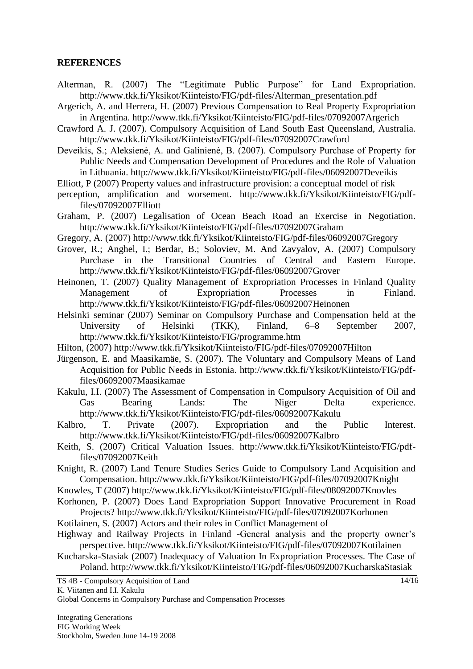#### **REFERENCES**

- Alterman, R. (2007) The "Legitimate Public Purpose" for Land Expropriation. http://www.tkk.fi/Yksikot/Kiinteisto/FIG/pdf-files/Alterman\_presentation.pdf
- Argerich, A. and Herrera, H. (2007) Previous Compensation to Real Property Expropriation in Argentina. http://www.tkk.fi/Yksikot/Kiinteisto/FIG/pdf-files/07092007Argerich
- Crawford A. J. (2007). Compulsory Acquisition of Land South East Queensland, Australia. http://www.tkk.fi/Yksikot/Kiinteisto/FIG/pdf-files/07092007Crawford
- Deveikis, S.; Aleksienė, A. and Galinienė, B. (2007). Compulsory Purchase of Property for Public Needs and Compensation Development of Procedures and the Role of Valuation in Lithuania. http://www.tkk.fi/Yksikot/Kiinteisto/FIG/pdf-files/06092007Deveikis
- Elliott, P (2007) Property values and infrastructure provision: a conceptual model of risk
- perception, amplification and worsement. http://www.tkk.fi/Yksikot/Kiinteisto/FIG/pdffiles/07092007Elliott
- Graham, P. (2007) Legalisation of Ocean Beach Road an Exercise in Negotiation. http://www.tkk.fi/Yksikot/Kiinteisto/FIG/pdf-files/07092007Graham
- Gregory, A. (2007) http://www.tkk.fi/Yksikot/Kiinteisto/FIG/pdf-files/06092007Gregory
- Grover, R.; Anghel, I.; Berdar, B.; Soloviev, M. And Zavyalov, A. (2007) Compulsory Purchase in the Transitional Countries of Central and Eastern Europe. http://www.tkk.fi/Yksikot/Kiinteisto/FIG/pdf-files/06092007Grover
- Heinonen, T. (2007) Quality Management of Expropriation Processes in Finland Quality Management of Expropriation Processes in Finland. http://www.tkk.fi/Yksikot/Kiinteisto/FIG/pdf-files/06092007Heinonen
- Helsinki seminar (2007) Seminar on Compulsory Purchase and Compensation held at the University of Helsinki (TKK), Finland, 6–8 September 2007, http://www.tkk.fi/Yksikot/Kiinteisto/FIG/programme.htm
- Hilton, (2007) http://www.tkk.fi/Yksikot/Kiinteisto/FIG/pdf-files/07092007Hilton
- Jürgenson, E. and Maasikamäe, S. (2007). The Voluntary and Compulsory Means of Land Acquisition for Public Needs in Estonia. http://www.tkk.fi/Yksikot/Kiinteisto/FIG/pdffiles/06092007Maasikamae
- Kakulu, I.I. (2007) The Assessment of Compensation in Compulsory Acquisition of Oil and Gas Bearing Lands: The Niger Delta experience. http://www.tkk.fi/Yksikot/Kiinteisto/FIG/pdf-files/06092007Kakulu
- Kalbro, T. Private (2007). Expropriation and the Public Interest. http://www.tkk.fi/Yksikot/Kiinteisto/FIG/pdf-files/06092007Kalbro
- Keith, S. (2007) Critical Valuation Issues. http://www.tkk.fi/Yksikot/Kiinteisto/FIG/pdffiles/07092007Keith
- Knight, R. (2007) Land Tenure Studies Series Guide to Compulsory Land Acquisition and Compensation. http://www.tkk.fi/Yksikot/Kiinteisto/FIG/pdf-files/07092007Knight
- Knowles, T (2007) http://www.tkk.fi/Yksikot/Kiinteisto/FIG/pdf-files/08092007Knovles
- Korhonen, P. (2007) Does Land Expropriation Support Innovative Procurement in Road Projects? http://www.tkk.fi/Yksikot/Kiinteisto/FIG/pdf-files/07092007Korhonen
- Kotilainen, S. (2007) Actors and their roles in Conflict Management of
- Highway and Railway Projects in Finland -General analysis and the property owner's perspective. http://www.tkk.fi/Yksikot/Kiinteisto/FIG/pdf-files/07092007Kotilainen
- Kucharska-Stasiak (2007) Inadequacy of Valuation In Expropriation Processes. The Case of Poland. http://www.tkk.fi/Yksikot/Kiinteisto/FIG/pdf-files/06092007KucharskaStasiak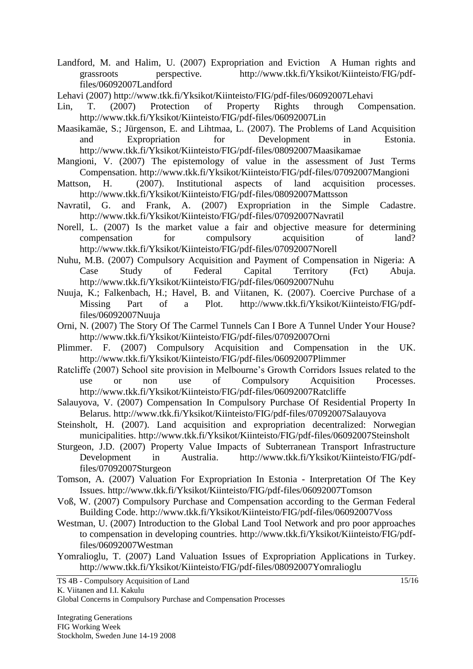- Landford, M. and Halim, U. (2007) Expropriation and Eviction A Human rights and grassroots perspective. http://www.tkk.fi/Yksikot/Kiinteisto/FIG/pdffiles/06092007Landford
- Lehavi (2007)<http://www.tkk.fi/Yksikot/Kiinteisto/FIG/pdf-files/06092007Lehavi>
- Lin, T. (2007) Protection of Property Rights through Compensation. http://www.tkk.fi/Yksikot/Kiinteisto/FIG/pdf-files/06092007Lin
- Maasikamäe, S.; Jürgenson, E. and Lihtmaa, L. (2007). The Problems of Land Acquisition and Expropriation for Development in Estonia. http://www.tkk.fi/Yksikot/Kiinteisto/FIG/pdf-files/08092007Maasikamae
- Mangioni, V. (2007) The epistemology of value in the assessment of Just Terms Compensation. http://www.tkk.fi/Yksikot/Kiinteisto/FIG/pdf-files/07092007Mangioni
- Mattson, H. (2007). Institutional aspects of land acquisition processes. http://www.tkk.fi/Yksikot/Kiinteisto/FIG/pdf-files/08092007Mattsson
- Navratil, G. and Frank, A. (2007) Expropriation in the Simple Cadastre. http://www.tkk.fi/Yksikot/Kiinteisto/FIG/pdf-files/07092007Navratil
- Norell, L. (2007) Is the market value a fair and objective measure for determining compensation for compulsory acquisition of land? http://www.tkk.fi/Yksikot/Kiinteisto/FIG/pdf-files/07092007Norell
- Nuhu, M.B. (2007) Compulsory Acquisition and Payment of Compensation in Nigeria: A Case Study of Federal Capital Territory (Fct) Abuja. http://www.tkk.fi/Yksikot/Kiinteisto/FIG/pdf-files/06092007Nuhu
- Nuuja, K.; Falkenbach, H.; Havel, B. and Viitanen, K. (2007). Coercive Purchase of a Missing Part of a Plot. http://www.tkk.fi/Yksikot/Kiinteisto/FIG/pdffiles/06092007Nuuja
- Orni, N. (2007) The Story Of The Carmel Tunnels Can I Bore A Tunnel Under Your House? http://www.tkk.fi/Yksikot/Kiinteisto/FIG/pdf-files/07092007Orni
- Plimmer. F. (2007) Compulsory Acquisition and Compensation in the UK. http://www.tkk.fi/Yksikot/Kiinteisto/FIG/pdf-files/06092007Plimmer
- Ratcliffe (2007) School site provision in Melbourne"s Growth Corridors Issues related to the use or non use of Compulsory Acquisition Processes. http://www.tkk.fi/Yksikot/Kiinteisto/FIG/pdf-files/06092007Ratcliffe
- Salauyova, V. (2007) Compensation In Compulsory Purchase Of Residential Property In Belarus. http://www.tkk.fi/Yksikot/Kiinteisto/FIG/pdf-files/07092007Salauyova
- Steinsholt, H. (2007). Land acquisition and expropriation decentralized: Norwegian municipalities. http://www.tkk.fi/Yksikot/Kiinteisto/FIG/pdf-files/06092007Steinsholt
- Sturgeon, J.D. (2007) Property Value Impacts of Subterranean Transport Infrastructure Development in Australia. http://www.tkk.fi/Yksikot/Kiinteisto/FIG/pdffiles/07092007Sturgeon
- Tomson, A. (2007) Valuation For Expropriation In Estonia Interpretation Of The Key Issues. http://www.tkk.fi/Yksikot/Kiinteisto/FIG/pdf-files/06092007Tomson
- Voß, W. (2007) Compulsory Purchase and Compensation according to the German Federal Building Code. http://www.tkk.fi/Yksikot/Kiinteisto/FIG/pdf-files/06092007Voss
- Westman, U. (2007) Introduction to the Global Land Tool Network and pro poor approaches to compensation in developing countries. http://www.tkk.fi/Yksikot/Kiinteisto/FIG/pdffiles/06092007Westman
- Yomralioglu, T. (2007) Land Valuation Issues of Expropriation Applications in Turkey. http://www.tkk.fi/Yksikot/Kiinteisto/FIG/pdf-files/08092007Yomralioglu

TS 4B - Compulsory Acquisition of Land K. Viitanen and I.I. Kakulu

Global Concerns in Compulsory Purchase and Compensation Processes